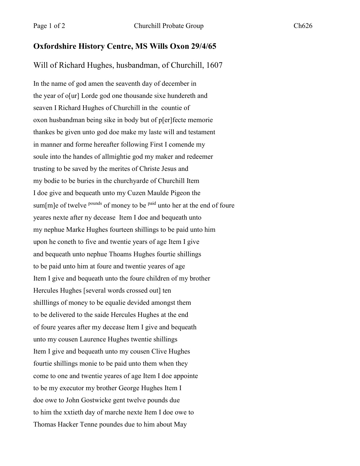## **Oxfordshire History Centre, MS Wills Oxon 29/4/65**

## Will of Richard Hughes, husbandman, of Churchill, 1607

In the name of god amen the seaventh day of december in the year of o[ur] Lorde god one thousande sixe hundereth and seaven I Richard Hughes of Churchill in the countie of oxon husbandman being sike in body but of p[er]fecte memorie thankes be given unto god doe make my laste will and testament in manner and forme hereafter following First I comende my soule into the handes of allmightie god my maker and redeemer trusting to be saved by the merites of Christe Jesus and my bodie to be buries in the churchyarde of Churchill Item I doe give and bequeath unto my Cuzen Maulde Pigeon the sum $[m]e$  of twelve <sup>pounds</sup> of money to be <sup>paid</sup> unto her at the end of foure yeares nexte after ny decease Item I doe and bequeath unto my nephue Marke Hughes fourteen shillings to be paid unto him upon he coneth to five and twentie years of age Item I give and bequeath unto nephue Thoams Hughes fourtie shillings to be paid unto him at foure and twentie yeares of age Item I give and bequeath unto the foure children of my brother Hercules Hughes [several words crossed out] ten shilllings of money to be equalie devided amongst them to be delivered to the saide Hercules Hughes at the end of foure yeares after my decease Item I give and bequeath unto my cousen Laurence Hughes twentie shillings Item I give and bequeath unto my cousen Clive Hughes fourtie shillings monie to be paid unto them when they come to one and twentie yeares of age Item I doe appointe to be my executor my brother George Hughes Item I doe owe to John Gostwicke gent twelve pounds due to him the xxtieth day of marche nexte Item I doe owe to Thomas Hacker Tenne poundes due to him about May